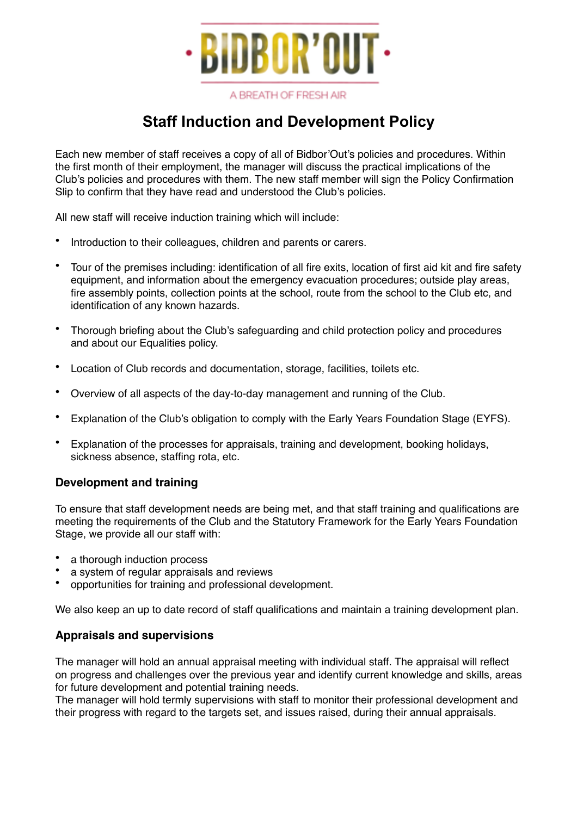

A BREATH OF FRESH AIR

# **Staff Induction and Development Policy**

Each new member of staff receives a copy of all of Bidbor'Out's policies and procedures. Within the first month of their employment, the manager will discuss the practical implications of the Club's policies and procedures with them. The new staff member will sign the Policy Confirmation Slip to confirm that they have read and understood the Club's policies.

All new staff will receive induction training which will include:

- Introduction to their colleagues, children and parents or carers.
- Tour of the premises including: identification of all fire exits, location of first aid kit and fire safety equipment, and information about the emergency evacuation procedures; outside play areas, fire assembly points, collection points at the school, route from the school to the Club etc, and identification of any known hazards.
- Thorough briefing about the Club's safeguarding and child protection policy and procedures and about our Equalities policy.
- Location of Club records and documentation, storage, facilities, toilets etc.
- Overview of all aspects of the day-to-day management and running of the Club.
- Explanation of the Club's obligation to comply with the Early Years Foundation Stage (EYFS).
- Explanation of the processes for appraisals, training and development, booking holidays, sickness absence, staffing rota, etc.

### **Development and training**

To ensure that staff development needs are being met, and that staff training and qualifications are meeting the requirements of the Club and the Statutory Framework for the Early Years Foundation Stage, we provide all our staff with:

- a thorough induction process
- a system of regular appraisals and reviews
- opportunities for training and professional development.

We also keep an up to date record of staff qualifications and maintain a training development plan.

### **Appraisals and supervisions**

The manager will hold an annual appraisal meeting with individual staff. The appraisal will reflect on progress and challenges over the previous year and identify current knowledge and skills, areas for future development and potential training needs.

The manager will hold termly supervisions with staff to monitor their professional development and their progress with regard to the targets set, and issues raised, during their annual appraisals.